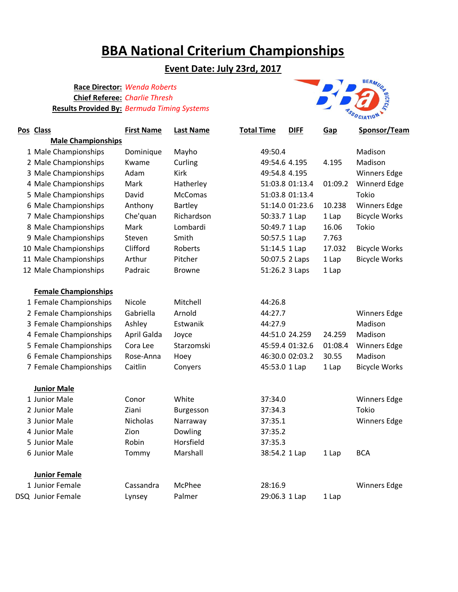# **BBA National Criterium Championships**

## **Event Date: July 23rd, 2017**

#### **Race Director:** *Wenda Roberts* **Chief Referee:** *Charlie Thresh* **Results Provided By:** *Bermuda Timing Systems*



| Pos Class                   | <b>First Name</b> | <b>Last Name</b> | <b>Total Time</b> | <b>DIFF</b>     | Gap     | Sponsor/Team         |
|-----------------------------|-------------------|------------------|-------------------|-----------------|---------|----------------------|
| <b>Male Championships</b>   |                   |                  |                   |                 |         |                      |
| 1 Male Championships        | Dominique         | Mayho            | 49:50.4           |                 |         | Madison              |
| 2 Male Championships        | Kwame             | Curling          | 49:54.6 4.195     |                 | 4.195   | Madison              |
| 3 Male Championships        | Adam              | Kirk             | 49:54.8 4.195     |                 |         | <b>Winners Edge</b>  |
| 4 Male Championships        | Mark              | Hatherley        |                   | 51:03.8 01:13.4 | 01:09.2 | Winnerd Edge         |
| 5 Male Championships        | David             | <b>McComas</b>   |                   | 51:03.8 01:13.4 |         | Tokio                |
| 6 Male Championships        | Anthony           | <b>Bartley</b>   |                   | 51:14.0 01:23.6 | 10.238  | <b>Winners Edge</b>  |
| 7 Male Championships        | Che'quan          | Richardson       | 50:33.7 1 Lap     |                 | 1 Lap   | <b>Bicycle Works</b> |
| 8 Male Championships        | Mark              | Lombardi         | 50:49.7 1 Lap     |                 | 16.06   | Tokio                |
| 9 Male Championships        | Steven            | Smith            | 50:57.5 1 Lap     |                 | 7.763   |                      |
| 10 Male Championships       | Clifford          | Roberts          | 51:14.5 1 Lap     |                 | 17.032  | <b>Bicycle Works</b> |
| 11 Male Championships       | Arthur            | Pitcher          | 50:07.5 2 Laps    |                 | 1 Lap   | <b>Bicycle Works</b> |
| 12 Male Championships       | Padraic           | <b>Browne</b>    | 51:26.2 3 Laps    |                 | 1 Lap   |                      |
| <b>Female Championships</b> |                   |                  |                   |                 |         |                      |
| 1 Female Championships      | Nicole            | Mitchell         | 44:26.8           |                 |         |                      |
| 2 Female Championships      | Gabriella         | Arnold           | 44:27.7           |                 |         | <b>Winners Edge</b>  |
| 3 Female Championships      | Ashley            | Estwanik         | 44:27.9           |                 |         | Madison              |
| 4 Female Championships      | April Galda       | Joyce            | 44:51.0 24.259    |                 | 24.259  | Madison              |
| 5 Female Championships      | Cora Lee          | Starzomski       |                   | 45:59.4 01:32.6 | 01:08.4 | <b>Winners Edge</b>  |
| 6 Female Championships      | Rose-Anna         | Hoey             |                   | 46:30.0 02:03.2 | 30.55   | Madison              |
| 7 Female Championships      | Caitlin           | Conyers          | 45:53.0 1 Lap     |                 | 1 Lap   | <b>Bicycle Works</b> |
| <b>Junior Male</b>          |                   |                  |                   |                 |         |                      |
| 1 Junior Male               | Conor             | White            | 37:34.0           |                 |         | <b>Winners Edge</b>  |
| 2 Junior Male               | Ziani             | Burgesson        | 37:34.3           |                 |         | <b>Tokio</b>         |
| 3 Junior Male               | <b>Nicholas</b>   | Narraway         | 37:35.1           |                 |         | <b>Winners Edge</b>  |
| 4 Junior Male               | Zion              | Dowling          | 37:35.2           |                 |         |                      |
| 5 Junior Male               | Robin             | Horsfield        | 37:35.3           |                 |         |                      |
| 6 Junior Male               | Tommy             | Marshall         | 38:54.2 1 Lap     |                 | 1 Lap   | <b>BCA</b>           |
| <b>Junior Female</b>        |                   |                  |                   |                 |         |                      |
| 1 Junior Female             | Cassandra         | McPhee           | 28:16.9           |                 |         | <b>Winners Edge</b>  |
| DSQ Junior Female           | Lynsey            | Palmer           | 29:06.3 1 Lap     |                 | 1 Lap   |                      |